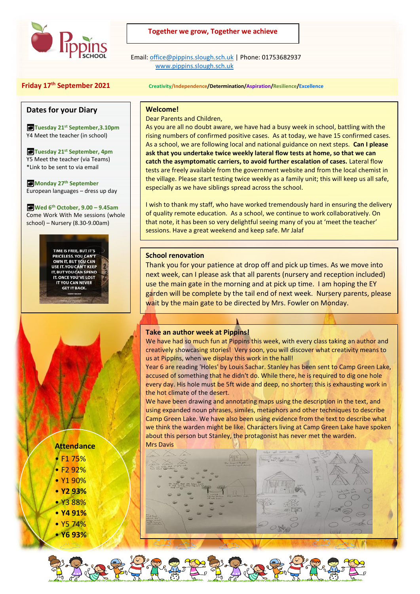

#### **Together we grow, Together we achieve**

 Email[: office@pippins.slough.sch.uk](mailto:office@pippins.slough.sch.uk) | Phone: 01753682937 [www.pippins.slough.sch.uk](http://www.pippins.slough.sch.uk/)

#### **Dates for your Diary**

**Tuesday 21st September,3.10pm** Y4 Meet the teacher (in school)

**Tuesday 21st September, 4pm** Y5 Meet the teacher (via Teams) \*Link to be sent to via email

**Monday 27th September** European languages – dress up day

**Wed 6th October, 9.00 – 9.45am** Come Work With Me sessions (whole school) – Nursery (8.30-9.00am)

> TIME IS FREE, BUT IT'S **PRICELESS, YOU CAN'T** OWN IT, BUT YOU CAN **USE IT. YOU CAN'T KEEP IT. BUT YOU CAN SPEND** IT. ONCE YOU'VE LOST YOU CAN NEVER **GET IT BACK.**

#### **Friday 17th September 2021 Creativity/Independence/Determination/Aspiration/Resilience/Excellence**

#### **Welcome!**

Dear Parents and Children,

As you are all no doubt aware, we have had a busy week in school, battling with the rising numbers of confirmed positive cases. As at today, we have 15 confirmed cases. As a school, we are following local and national guidance on next steps. **Can I please ask that you undertake twice weekly lateral flow tests at home, so that we can catch the asymptomatic carriers, to avoid further escalation of cases.** Lateral flow tests are freely available from the government website and from the local chemist in the village. Please start testing twice weekly as a family unit; this will keep us all safe, especially as we have siblings spread across the school.

I wish to thank my staff, who have worked tremendously hard in ensuring the delivery of quality remote education. As a school, we continue to work collaboratively. On that note, it has been so very delightful seeing many of you at 'meet the teacher' sessions. Have a great weekend and keep safe. Mr Jalaf

#### **School renovation**

Thank you for your patience at drop off and pick up times. As we move into next week, can I please ask that all parents (nursery and reception included) use the main gate in the morning and at pick up time. I am hoping the EY garden will be complete by the tail end of next week. Nursery parents, please wait by the main gate to be directed by Mrs. Fowler on Monday.

#### **Take an author week at Pippins!**

We have had so much fun at Pippins this week, with every class taking an author and creatively showcasing stories! Very soon, you will discover what creativity means to us at Pippins, when we display this work in the hall!

Year 6 are reading 'Holes' by Louis Sachar. Stanley has been sent to Camp Green Lake, accused of something that he didn't do. While there, he is required to dig one hole every day. His hole must be 5ft wide and deep, no shorter: this is exhausting work in the hot climate of the desert.

We have been drawing and annotating maps using the description in the text, and using expanded noun phrases, similes, metaphors and other techniques to describe Camp Green Lake. We have also been using evidence from the text to describe what we think the warden might be like. Characters living at Camp Green Lake have spoken about this person but Stanley, the protagonist has never met the warden. Mrs Davis



### **Attendance**

- F1 75%
- F2 92%
- Y1 90%
- **Y2 93%**
- Y3 88%
- **Y4 91%**
- Y5 74% • **Y6 93%**